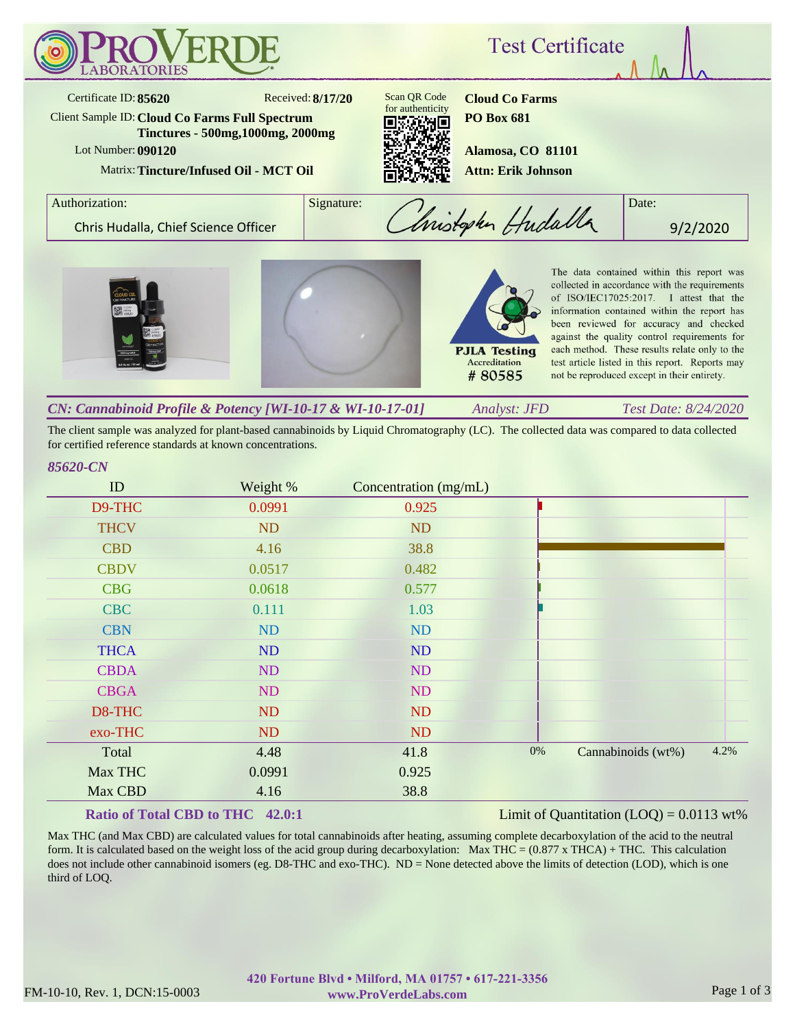

The client sample was analyzed for plant-based cannabinoids by Liquid Chromatography (LC). The collected data was compared to data collected for certified reference standards at known concentrations.

## *85620-CN*

| ID          | Weight %  | Concentration (mg/mL) |    |                    |      |
|-------------|-----------|-----------------------|----|--------------------|------|
| D9-THC      | 0.0991    | 0.925                 |    |                    |      |
| <b>THCV</b> | <b>ND</b> | <b>ND</b>             |    |                    |      |
| <b>CBD</b>  | 4.16      | 38.8                  |    |                    |      |
| <b>CBDV</b> | 0.0517    | 0.482                 |    |                    |      |
| <b>CBG</b>  | 0.0618    | 0.577                 |    |                    |      |
| <b>CBC</b>  | 0.111     | 1.03                  |    |                    |      |
| <b>CBN</b>  | ND        | ND                    |    |                    |      |
| <b>THCA</b> | ND        | ND                    |    |                    |      |
| <b>CBDA</b> | ND        | ND                    |    |                    |      |
| <b>CBGA</b> | ND        | ND                    |    |                    |      |
| D8-THC      | ND        | <b>ND</b>             |    |                    |      |
| exo-THC     | ND        | <b>ND</b>             |    |                    |      |
| Total       | 4.48      | 41.8                  | 0% | Cannabinoids (wt%) | 4.2% |
| Max THC     | 0.0991    | 0.925                 |    |                    |      |
| Max CBD     | 4.16      | 38.8                  |    |                    |      |

### **Ratio of Total CBD to THC 42.0:1**

### Limit of Quantitation  $(LOO) = 0.0113$  wt%

Max THC (and Max CBD) are calculated values for total cannabinoids after heating, assuming complete decarboxylation of the acid to the neutral form. It is calculated based on the weight loss of the acid group during decarboxylation: Max THC =  $(0.877 \times THCA) + THC$ . This calculation does not include other cannabinoid isomers (eg. D8-THC and exo-THC). ND = None detected above the limits of detection (LOD), which is one third of LOQ.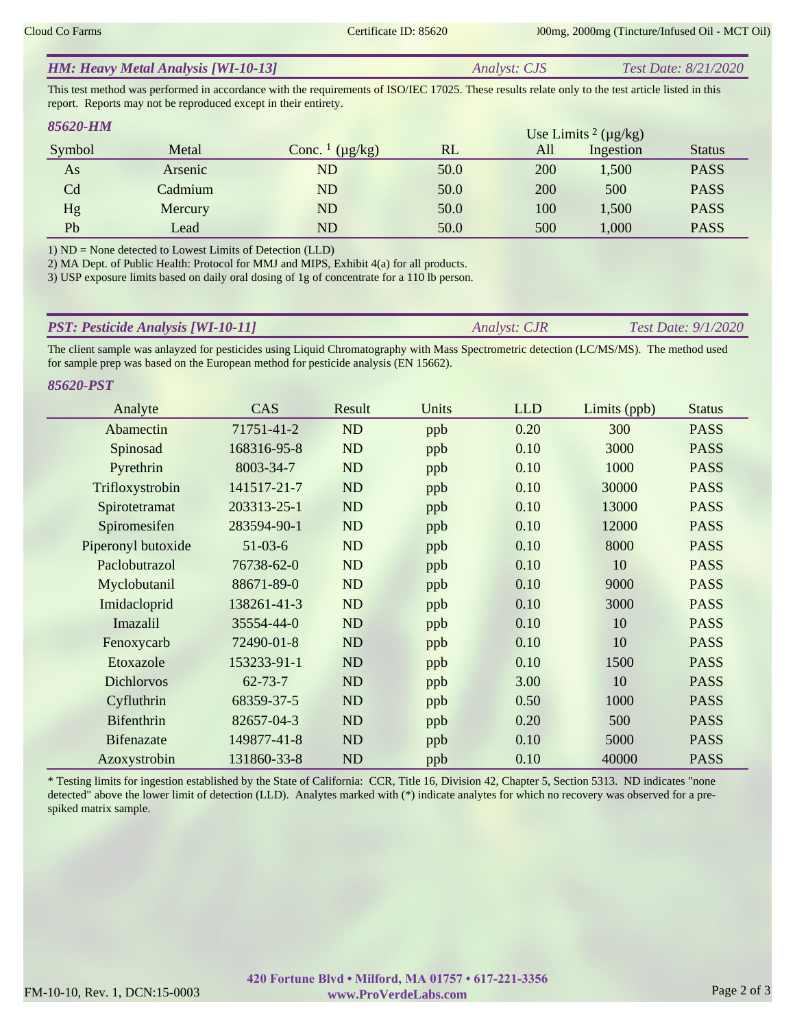|  | <b>HM: Heavy Metal Analysis [WI-10-13]</b> | <i>Analyst: CJS</i> | Test Date: 8/21/2020 |
|--|--------------------------------------------|---------------------|----------------------|
|--|--------------------------------------------|---------------------|----------------------|

This test method was performed in accordance with the requirements of ISO/IEC 17025. These results relate only to the test article listed in this report. Reports may not be reproduced except in their entirety.

| 85620-HM |         |                                     |      |     | Use Limits <sup>2</sup> ( $\mu$ g/kg) |               |
|----------|---------|-------------------------------------|------|-----|---------------------------------------|---------------|
| Symbol   | Metal   | Conc. $\frac{1}{\mu}$ ( $\mu$ g/kg) | RL   | All | Ingestion                             | <b>Status</b> |
| As       | Arsenic | ND                                  | 50.0 | 200 | 1,500                                 | <b>PASS</b>   |
| Cd       | Cadmium | ND                                  | 50.0 | 200 | 500                                   | <b>PASS</b>   |
| Hg       | Mercury | ND                                  | 50.0 | 100 | 1,500                                 | <b>PASS</b>   |
| Pb       | Lead    | ND                                  | 50.0 | 500 | 1,000                                 | <b>PASS</b>   |

1) ND = None detected to Lowest Limits of Detection (LLD)

2) MA Dept. of Public Health: Protocol for MMJ and MIPS, Exhibit 4(a) for all products.

3) USP exposure limits based on daily oral dosing of 1g of concentrate for a 110 lb person.

| <b>PST: Pesticide Analysis [WI-10-11]</b> | <i><b>Analyst: CJR</b></i> | <b>Test Date: 9/1/2020</b> |
|-------------------------------------------|----------------------------|----------------------------|
|                                           |                            |                            |

The client sample was anlayzed for pesticides using Liquid Chromatography with Mass Spectrometric detection (LC/MS/MS). The method used for sample prep was based on the European method for pesticide analysis (EN 15662).

*85620-PST*

| Analyte            | CAS           | Result    | Units | <b>LLD</b> | Limits (ppb) | <b>Status</b> |
|--------------------|---------------|-----------|-------|------------|--------------|---------------|
| Abamectin          | 71751-41-2    | ND        | ppb   | 0.20       | 300          | <b>PASS</b>   |
| Spinosad           | 168316-95-8   | ND        | ppb   | 0.10       | 3000         | <b>PASS</b>   |
| Pyrethrin          | 8003-34-7     | ND        | ppb   | 0.10       | 1000         | <b>PASS</b>   |
| Trifloxystrobin    | 141517-21-7   | ND        | ppb   | 0.10       | 30000        | <b>PASS</b>   |
| Spirotetramat      | 203313-25-1   | ND        | ppb   | 0.10       | 13000        | <b>PASS</b>   |
| Spiromesifen       | 283594-90-1   | ND        | ppb   | 0.10       | 12000        | <b>PASS</b>   |
| Piperonyl butoxide | $51-03-6$     | ND        | ppb   | 0.10       | 8000         | <b>PASS</b>   |
| Paclobutrazol      | 76738-62-0    | ND        | ppb   | 0.10       | 10           | <b>PASS</b>   |
| Myclobutanil       | 88671-89-0    | ND        | ppb   | 0.10       | 9000         | <b>PASS</b>   |
| Imidacloprid       | 138261-41-3   | ND        | ppb   | 0.10       | 3000         | <b>PASS</b>   |
| Imazalil           | 35554-44-0    | <b>ND</b> | ppb   | 0.10       | 10           | <b>PASS</b>   |
| Fenoxycarb         | 72490-01-8    | <b>ND</b> | ppb   | 0.10       | 10           | <b>PASS</b>   |
| Etoxazole          | 153233-91-1   | ND        | ppb   | 0.10       | 1500         | <b>PASS</b>   |
| <b>Dichlorvos</b>  | $62 - 73 - 7$ | <b>ND</b> | ppb   | 3.00       | 10           | <b>PASS</b>   |
| Cyfluthrin         | 68359-37-5    | ND        | ppb   | 0.50       | 1000         | <b>PASS</b>   |
| <b>Bifenthrin</b>  | 82657-04-3    | ND        | ppb   | 0.20       | 500          | <b>PASS</b>   |
| <b>Bifenazate</b>  | 149877-41-8   | ND        | ppb   | 0.10       | 5000         | <b>PASS</b>   |
| Azoxystrobin       | 131860-33-8   | ND        | ppb   | 0.10       | 40000        | <b>PASS</b>   |

\* Testing limits for ingestion established by the State of California: CCR, Title 16, Division 42, Chapter 5, Section 5313. ND indicates "none detected" above the lower limit of detection (LLD). Analytes marked with (\*) indicate analytes for which no recovery was observed for a prespiked matrix sample.